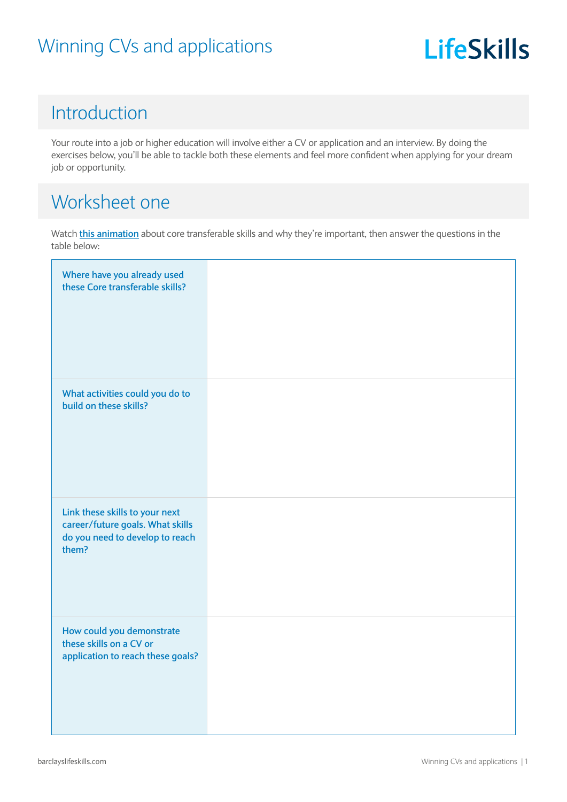## **LifeSkills**

#### Introduction

Your route into a job or higher education will involve either a CV or application and an interview. By doing the exercises below, you'll be able to tackle both these elements and feel more confident when applying for your dream job or opportunity.

#### Worksheet one

Watch **[this animation](https://barclayslifeskills.com/i-want-virtual-work-experience/school/transferable-skills-examples/)** about core transferable skills and why they're important, then answer the questions in the table below:

| Where have you already used<br>these Core transferable skills?                                                 |  |
|----------------------------------------------------------------------------------------------------------------|--|
| What activities could you do to<br>build on these skills?                                                      |  |
| Link these skills to your next<br>career/future goals. What skills<br>do you need to develop to reach<br>them? |  |
| How could you demonstrate<br>these skills on a CV or<br>application to reach these goals?                      |  |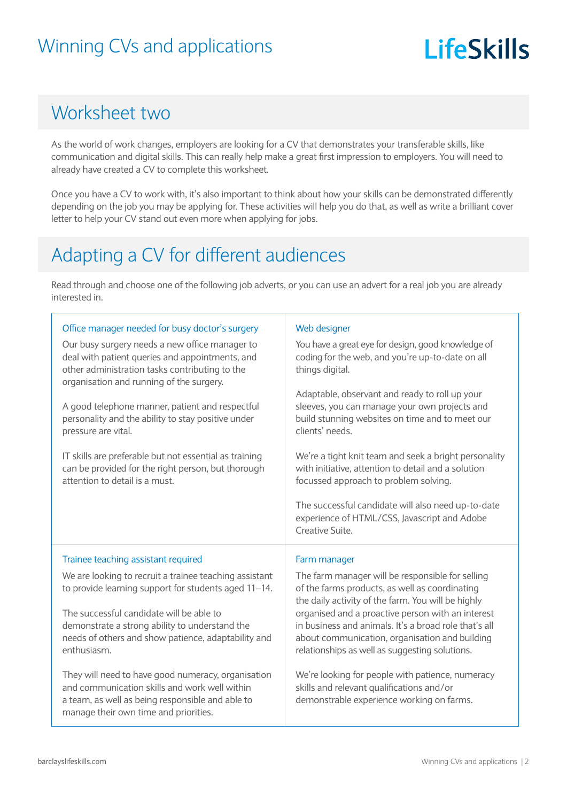## **LifeSkills**

#### Worksheet two

As the world of work changes, employers are looking for a CV that demonstrates your transferable skills, like communication and digital skills. This can really help make a great first impression to employers. You will need to already have created a CV to complete this worksheet.

Once you have a CV to work with, it's also important to think about how your skills can be demonstrated differently depending on the job you may be applying for. These activities will help you do that, as well as write a brilliant cover letter to help your CV stand out even more when applying for jobs.

## Adapting a CV for different audiences

Read through and choose one of the following job adverts, or you can use an advert for a real job you are already interested in.

| Office manager needed for busy doctor's surgery<br>Our busy surgery needs a new office manager to<br>deal with patient queries and appointments, and<br>other administration tasks contributing to the<br>organisation and running of the surgery.<br>A good telephone manner, patient and respectful<br>personality and the ability to stay positive under<br>pressure are vital. | Web designer<br>You have a great eye for design, good knowledge of<br>coding for the web, and you're up-to-date on all<br>things digital.<br>Adaptable, observant and ready to roll up your<br>sleeves, you can manage your own projects and<br>build stunning websites on time and to meet our<br>clients' needs.                                                         |  |
|------------------------------------------------------------------------------------------------------------------------------------------------------------------------------------------------------------------------------------------------------------------------------------------------------------------------------------------------------------------------------------|----------------------------------------------------------------------------------------------------------------------------------------------------------------------------------------------------------------------------------------------------------------------------------------------------------------------------------------------------------------------------|--|
| IT skills are preferable but not essential as training<br>can be provided for the right person, but thorough<br>attention to detail is a must.                                                                                                                                                                                                                                     | We're a tight knit team and seek a bright personality<br>with initiative, attention to detail and a solution<br>focussed approach to problem solving.<br>The successful candidate will also need up-to-date<br>experience of HTML/CSS, Javascript and Adobe<br>Creative Suite.                                                                                             |  |
| Trainee teaching assistant required                                                                                                                                                                                                                                                                                                                                                | Farm manager                                                                                                                                                                                                                                                                                                                                                               |  |
| We are looking to recruit a trainee teaching assistant<br>to provide learning support for students aged 11-14.<br>The successful candidate will be able to<br>demonstrate a strong ability to understand the<br>needs of others and show patience, adaptability and<br>enthusiasm.                                                                                                 | The farm manager will be responsible for selling<br>of the farms products, as well as coordinating<br>the daily activity of the farm. You will be highly<br>organised and a proactive person with an interest<br>in business and animals. It's a broad role that's all<br>about communication, organisation and building<br>relationships as well as suggesting solutions. |  |
| They will need to have good numeracy, organisation<br>and communication skills and work well within<br>a team, as well as being responsible and able to<br>manage their own time and priorities.                                                                                                                                                                                   | We're looking for people with patience, numeracy<br>skills and relevant qualifications and/or<br>demonstrable experience working on farms.                                                                                                                                                                                                                                 |  |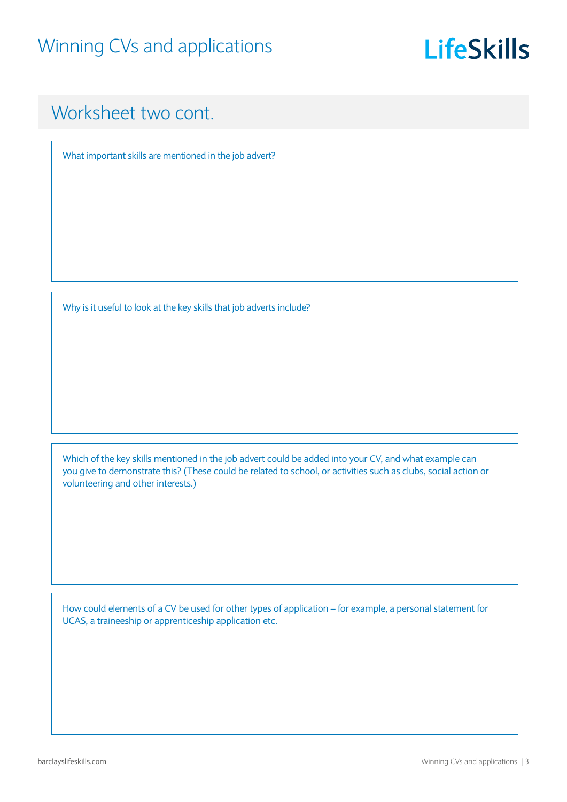## **LifeSkills**

#### Worksheet two cont.

What important skills are mentioned in the job advert?

Why is it useful to look at the key skills that job adverts include?

Which of the key skills mentioned in the job advert could be added into your CV, and what example can you give to demonstrate this? (These could be related to school, or activities such as clubs, social action or volunteering and other interests.)

How could elements of a CV be used for other types of application – for example, a personal statement for UCAS, a traineeship or apprenticeship application etc.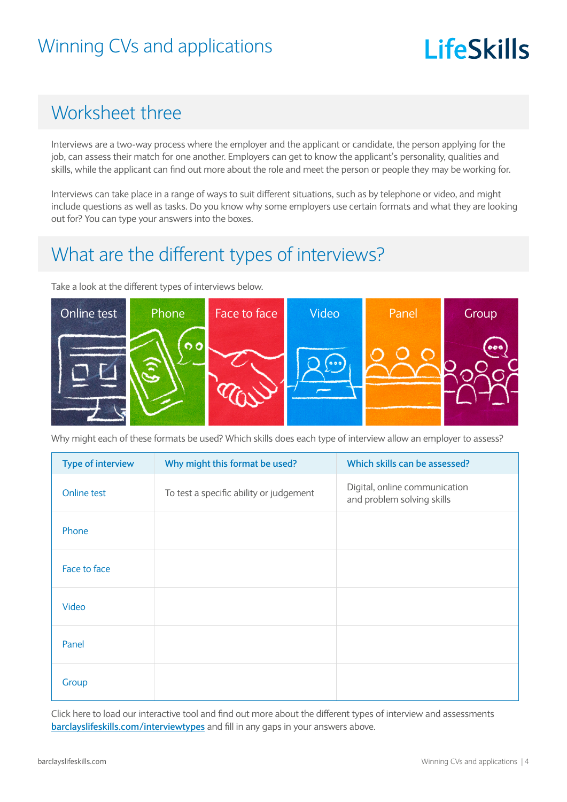# **LifeSkills**

### Worksheet three

Interviews are a two-way process where the employer and the applicant or candidate, the person applying for the job, can assess their match for one another. Employers can get to know the applicant's personality, qualities and skills, while the applicant can find out more about the role and meet the person or people they may be working for.

Interviews can take place in a range of ways to suit different situations, such as by telephone or video, and might include questions as well as tasks. Do you know why some employers use certain formats and what they are looking out for? You can type your answers into the boxes.

#### What are the different types of interviews?

Take a look at the different types of interviews below.



Why might each of these formats be used? Which skills does each type of interview allow an employer to assess?

| <b>Type of interview</b> | Why might this format be used?          | Which skills can be assessed?                               |
|--------------------------|-----------------------------------------|-------------------------------------------------------------|
| Online test              | To test a specific ability or judgement | Digital, online communication<br>and problem solving skills |
| Phone                    |                                         |                                                             |
| Face to face             |                                         |                                                             |
| Video                    |                                         |                                                             |
| Panel                    |                                         |                                                             |
| Group                    |                                         |                                                             |

Click here to load our interactive tool and find out more about the different types of interview and assessments **[barclayslifeskills.com/interviewtypes](https://barclayslifeskills.com/i-want-to-prepare-for-an-interview/sixth-form/different-types-of-interview-and-assessments/)** and fill in any gaps in your answers above.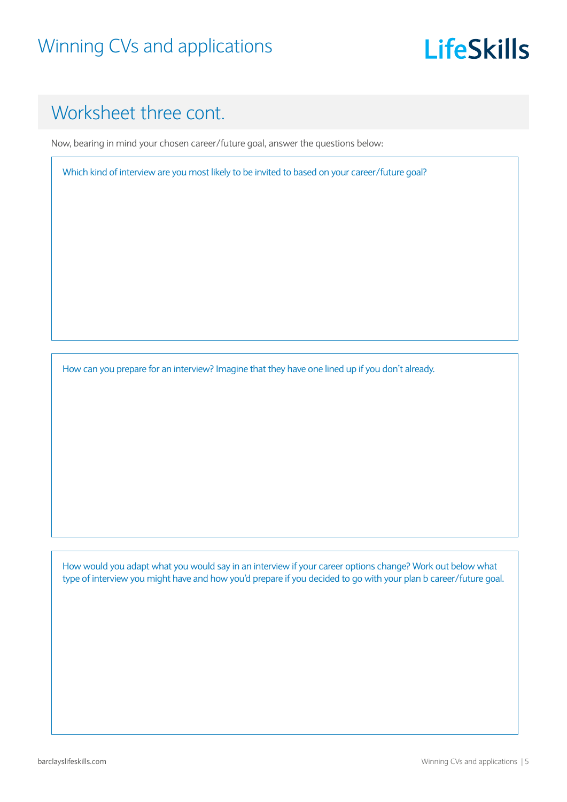## **LifeSkills**

## Worksheet three cont.

Now, bearing in mind your chosen career/future goal, answer the questions below:

Which kind of interview are you most likely to be invited to based on your career/future goal?

How can you prepare for an interview? Imagine that they have one lined up if you don't already.

How would you adapt what you would say in an interview if your career options change? Work out below what type of interview you might have and how you'd prepare if you decided to go with your plan b career/future goal.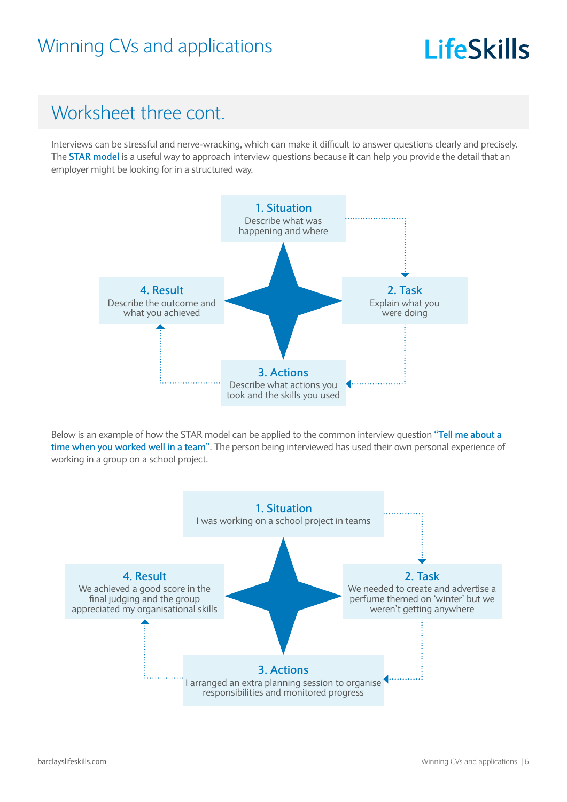## **LifeSkills**

### Worksheet three cont.

Interviews can be stressful and nerve-wracking, which can make it difficult to answer questions clearly and precisely. The **STAR model** is a useful way to approach interview questions because it can help you provide the detail that an employer might be looking for in a structured way.



Below is an example of how the STAR model can be applied to the common interview question **"Tell me about a time when you worked well in a team"**. The person being interviewed has used their own personal experience of working in a group on a school project.

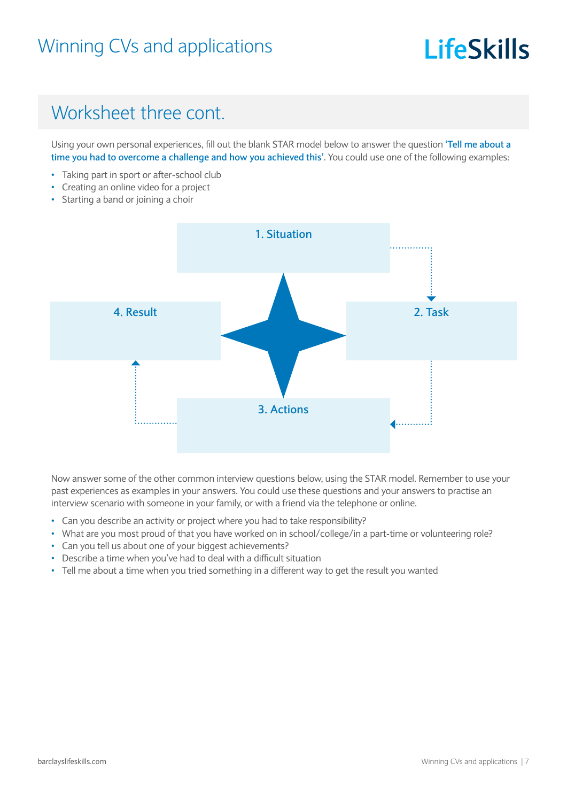# LifeSkills

## Worksheet three cont.

Using your own personal experiences, fill out the blank STAR model below to answer the question **'Tell me about a time you had to overcome a challenge and how you achieved this'**. You could use one of the following examples:

- Taking part in sport or after-school club
- Creating an online video for a project
- Starting a band or joining a choir



Now answer some of the other common interview questions below, using the STAR model. Remember to use your past experiences as examples in your answers. You could use these questions and your answers to practise an interview scenario with someone in your family, or with a friend via the telephone or online.

- Can you describe an activity or project where you had to take responsibility?
- What are you most proud of that you have worked on in school/college/in a part-time or volunteering role?
- Can you tell us about one of your biggest achievements?
- Describe a time when you've had to deal with a difficult situation
- Tell me about a time when you tried something in a different way to get the result you wanted